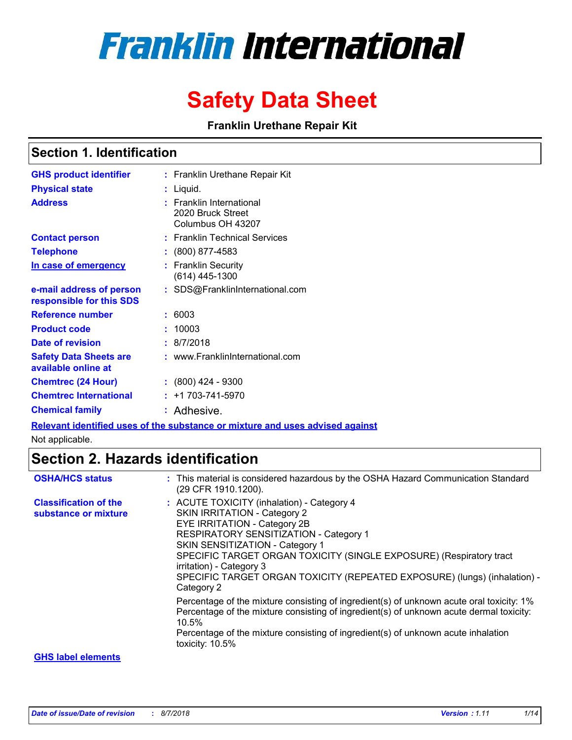# **Franklin International**

## **Safety Data Sheet**

**Franklin Urethane Repair Kit**

### **Section 1. Identification**

| <b>GHS product identifier</b>                        | : Franklin Urethane Repair Kit                                     |
|------------------------------------------------------|--------------------------------------------------------------------|
| <b>Physical state</b>                                | Liquid.                                                            |
| <b>Address</b>                                       | : Franklin International<br>2020 Bruck Street<br>Columbus OH 43207 |
| <b>Contact person</b>                                | : Franklin Technical Services                                      |
| <b>Telephone</b>                                     | $\colon$ (800) 877-4583                                            |
| In case of emergency                                 | : Franklin Security<br>$(614)$ 445-1300                            |
| e-mail address of person<br>responsible for this SDS | : SDS@FranklinInternational.com                                    |
| Reference number                                     | : 6003                                                             |
| <b>Product code</b>                                  | 10003                                                              |
| <b>Date of revision</b>                              | : 8/7/2018                                                         |
| <b>Safety Data Sheets are</b><br>available online at | : www.FranklinInternational.com                                    |
| <b>Chemtrec (24 Hour)</b>                            | $\colon$ (800) 424 - 9300                                          |
| <b>Chemtrec International</b>                        | $: +1703 - 741 - 5970$                                             |
| <b>Chemical family</b>                               | : Adhesive.                                                        |

**Relevant identified uses of the substance or mixture and uses advised against**

Not applicable.

## **Section 2. Hazards identification**

| <b>OSHA/HCS status</b>                               | : This material is considered hazardous by the OSHA Hazard Communication Standard<br>(29 CFR 1910.1200).                                                                                                                                                                                                                                                                              |
|------------------------------------------------------|---------------------------------------------------------------------------------------------------------------------------------------------------------------------------------------------------------------------------------------------------------------------------------------------------------------------------------------------------------------------------------------|
| <b>Classification of the</b><br>substance or mixture | : ACUTE TOXICITY (inhalation) - Category 4<br>SKIN IRRITATION - Category 2<br>EYE IRRITATION - Category 2B<br>RESPIRATORY SENSITIZATION - Category 1<br>SKIN SENSITIZATION - Category 1<br>SPECIFIC TARGET ORGAN TOXICITY (SINGLE EXPOSURE) (Respiratory tract<br>irritation) - Category 3<br>SPECIFIC TARGET ORGAN TOXICITY (REPEATED EXPOSURE) (lungs) (inhalation) -<br>Category 2 |
|                                                      | Percentage of the mixture consisting of ingredient(s) of unknown acute oral toxicity: 1%<br>Percentage of the mixture consisting of ingredient(s) of unknown acute dermal toxicity:<br>$10.5\%$<br>Percentage of the mixture consisting of ingredient(s) of unknown acute inhalation<br>toxicity: 10.5%                                                                               |
| <b>GHS label elements</b>                            |                                                                                                                                                                                                                                                                                                                                                                                       |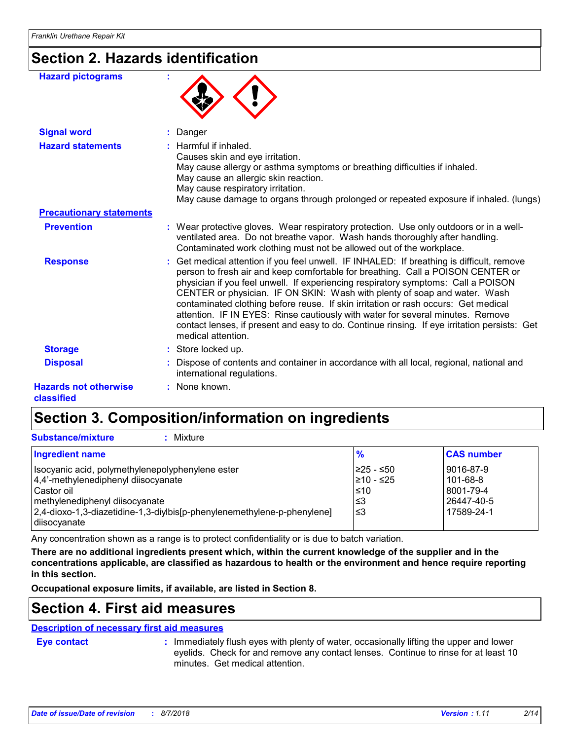## **Section 2. Hazards identification**

| <b>Hazard pictograms</b>                   |                                                                                                                                                                                                                                                                                                                                                                                                                                                                                                                                                                                                                                              |
|--------------------------------------------|----------------------------------------------------------------------------------------------------------------------------------------------------------------------------------------------------------------------------------------------------------------------------------------------------------------------------------------------------------------------------------------------------------------------------------------------------------------------------------------------------------------------------------------------------------------------------------------------------------------------------------------------|
| <b>Signal word</b>                         | Danger                                                                                                                                                                                                                                                                                                                                                                                                                                                                                                                                                                                                                                       |
| <b>Hazard statements</b>                   | : Harmful if inhaled.<br>Causes skin and eye irritation.<br>May cause allergy or asthma symptoms or breathing difficulties if inhaled.<br>May cause an allergic skin reaction.<br>May cause respiratory irritation.<br>May cause damage to organs through prolonged or repeated exposure if inhaled. (lungs)                                                                                                                                                                                                                                                                                                                                 |
| <b>Precautionary statements</b>            |                                                                                                                                                                                                                                                                                                                                                                                                                                                                                                                                                                                                                                              |
| <b>Prevention</b>                          | : Wear protective gloves. Wear respiratory protection. Use only outdoors or in a well-<br>ventilated area. Do not breathe vapor. Wash hands thoroughly after handling.<br>Contaminated work clothing must not be allowed out of the workplace.                                                                                                                                                                                                                                                                                                                                                                                               |
| <b>Response</b>                            | : Get medical attention if you feel unwell. IF INHALED: If breathing is difficult, remove<br>person to fresh air and keep comfortable for breathing. Call a POISON CENTER or<br>physician if you feel unwell. If experiencing respiratory symptoms: Call a POISON<br>CENTER or physician. IF ON SKIN: Wash with plenty of soap and water. Wash<br>contaminated clothing before reuse. If skin irritation or rash occurs: Get medical<br>attention. IF IN EYES: Rinse cautiously with water for several minutes. Remove<br>contact lenses, if present and easy to do. Continue rinsing. If eye irritation persists: Get<br>medical attention. |
| <b>Storage</b>                             | : Store locked up.                                                                                                                                                                                                                                                                                                                                                                                                                                                                                                                                                                                                                           |
| <b>Disposal</b>                            | Dispose of contents and container in accordance with all local, regional, national and<br>international regulations.                                                                                                                                                                                                                                                                                                                                                                                                                                                                                                                         |
| <b>Hazards not otherwise</b><br>classified | : None known.                                                                                                                                                                                                                                                                                                                                                                                                                                                                                                                                                                                                                                |

## **Section 3. Composition/information on ingredients**

| <b>Substance/mixture</b><br>Mixture                                                                                                                                                                                                   |                                             |                                                                |
|---------------------------------------------------------------------------------------------------------------------------------------------------------------------------------------------------------------------------------------|---------------------------------------------|----------------------------------------------------------------|
| <b>Ingredient name</b>                                                                                                                                                                                                                | $\frac{9}{6}$                               | <b>CAS number</b>                                              |
| Isocyanic acid, polymethylenepolyphenylene ester<br>4,4'-methylenediphenyl diisocyanate<br>l Castor oil<br>methylenediphenyl diisocyanate<br>[2,4-dioxo-1,3-diazetidine-1,3-diylbis[p-phenylenemethylene-p-phenylene]<br>diisocyanate | I≥25 - ≤50<br>l≥10 - ≤25<br>≤10<br>≤3<br>≤3 | 9016-87-9<br>101-68-8<br>8001-79-4<br>26447-40-5<br>17589-24-1 |

Any concentration shown as a range is to protect confidentiality or is due to batch variation.

**There are no additional ingredients present which, within the current knowledge of the supplier and in the concentrations applicable, are classified as hazardous to health or the environment and hence require reporting in this section.**

**Occupational exposure limits, if available, are listed in Section 8.**

## **Section 4. First aid measures**

#### **Description of necessary first aid measures**

**Eye contact :**

: Immediately flush eyes with plenty of water, occasionally lifting the upper and lower eyelids. Check for and remove any contact lenses. Continue to rinse for at least 10 minutes. Get medical attention.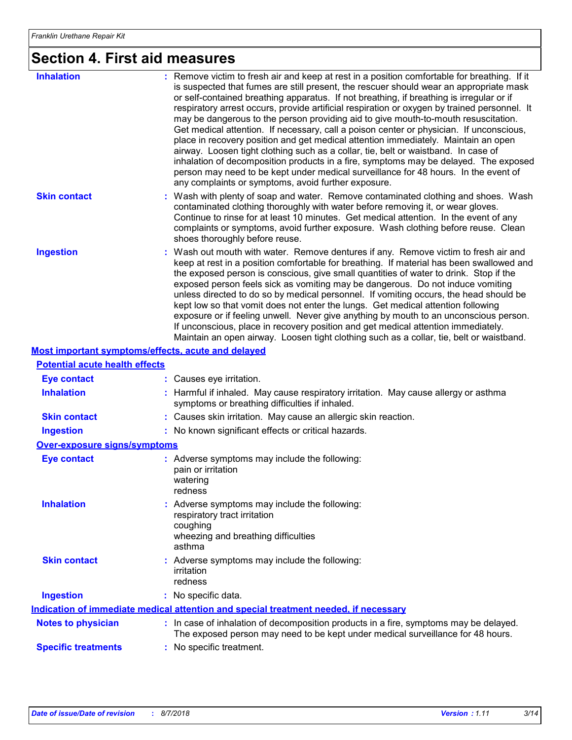## **Section 4. First aid measures**

| <b>Inhalation</b>                                  | : Remove victim to fresh air and keep at rest in a position comfortable for breathing. If it<br>is suspected that fumes are still present, the rescuer should wear an appropriate mask<br>or self-contained breathing apparatus. If not breathing, if breathing is irregular or if<br>respiratory arrest occurs, provide artificial respiration or oxygen by trained personnel. It<br>may be dangerous to the person providing aid to give mouth-to-mouth resuscitation.<br>Get medical attention. If necessary, call a poison center or physician. If unconscious,<br>place in recovery position and get medical attention immediately. Maintain an open<br>airway. Loosen tight clothing such as a collar, tie, belt or waistband. In case of<br>inhalation of decomposition products in a fire, symptoms may be delayed. The exposed<br>person may need to be kept under medical surveillance for 48 hours. In the event of<br>any complaints or symptoms, avoid further exposure. |
|----------------------------------------------------|---------------------------------------------------------------------------------------------------------------------------------------------------------------------------------------------------------------------------------------------------------------------------------------------------------------------------------------------------------------------------------------------------------------------------------------------------------------------------------------------------------------------------------------------------------------------------------------------------------------------------------------------------------------------------------------------------------------------------------------------------------------------------------------------------------------------------------------------------------------------------------------------------------------------------------------------------------------------------------------|
| <b>Skin contact</b>                                | : Wash with plenty of soap and water. Remove contaminated clothing and shoes. Wash<br>contaminated clothing thoroughly with water before removing it, or wear gloves.<br>Continue to rinse for at least 10 minutes. Get medical attention. In the event of any<br>complaints or symptoms, avoid further exposure. Wash clothing before reuse. Clean<br>shoes thoroughly before reuse.                                                                                                                                                                                                                                                                                                                                                                                                                                                                                                                                                                                                 |
| <b>Ingestion</b>                                   | : Wash out mouth with water. Remove dentures if any. Remove victim to fresh air and<br>keep at rest in a position comfortable for breathing. If material has been swallowed and<br>the exposed person is conscious, give small quantities of water to drink. Stop if the<br>exposed person feels sick as vomiting may be dangerous. Do not induce vomiting<br>unless directed to do so by medical personnel. If vomiting occurs, the head should be<br>kept low so that vomit does not enter the lungs. Get medical attention following<br>exposure or if feeling unwell. Never give anything by mouth to an unconscious person.<br>If unconscious, place in recovery position and get medical attention immediately.<br>Maintain an open airway. Loosen tight clothing such as a collar, tie, belt or waistband.                                                                                                                                                                     |
| Most important symptoms/effects, acute and delayed |                                                                                                                                                                                                                                                                                                                                                                                                                                                                                                                                                                                                                                                                                                                                                                                                                                                                                                                                                                                       |
| <b>Potential acute health effects</b>              |                                                                                                                                                                                                                                                                                                                                                                                                                                                                                                                                                                                                                                                                                                                                                                                                                                                                                                                                                                                       |
| <b>Eye contact</b>                                 | : Causes eye irritation.                                                                                                                                                                                                                                                                                                                                                                                                                                                                                                                                                                                                                                                                                                                                                                                                                                                                                                                                                              |
| <b>Inhalation</b>                                  | : Harmful if inhaled. May cause respiratory irritation. May cause allergy or asthma<br>symptoms or breathing difficulties if inhaled.                                                                                                                                                                                                                                                                                                                                                                                                                                                                                                                                                                                                                                                                                                                                                                                                                                                 |
| <b>Skin contact</b>                                | : Causes skin irritation. May cause an allergic skin reaction.                                                                                                                                                                                                                                                                                                                                                                                                                                                                                                                                                                                                                                                                                                                                                                                                                                                                                                                        |
| <b>Ingestion</b>                                   | : No known significant effects or critical hazards.                                                                                                                                                                                                                                                                                                                                                                                                                                                                                                                                                                                                                                                                                                                                                                                                                                                                                                                                   |
| <b>Over-exposure signs/symptoms</b>                |                                                                                                                                                                                                                                                                                                                                                                                                                                                                                                                                                                                                                                                                                                                                                                                                                                                                                                                                                                                       |

| <b>Eye contact</b>         | : Adverse symptoms may include the following:<br>pain or irritation<br>watering<br>redness                                                                               |
|----------------------------|--------------------------------------------------------------------------------------------------------------------------------------------------------------------------|
| <b>Inhalation</b>          | : Adverse symptoms may include the following:<br>respiratory tract irritation<br>coughing<br>wheezing and breathing difficulties<br>asthma                               |
| <b>Skin contact</b>        | : Adverse symptoms may include the following:<br>irritation<br>redness                                                                                                   |
| <b>Ingestion</b>           | : No specific data.                                                                                                                                                      |
|                            | Indication of immediate medical attention and special treatment needed, if necessary                                                                                     |
| <b>Notes to physician</b>  | : In case of inhalation of decomposition products in a fire, symptoms may be delayed.<br>The exposed person may need to be kept under medical surveillance for 48 hours. |
| <b>Specific treatments</b> | : No specific treatment.                                                                                                                                                 |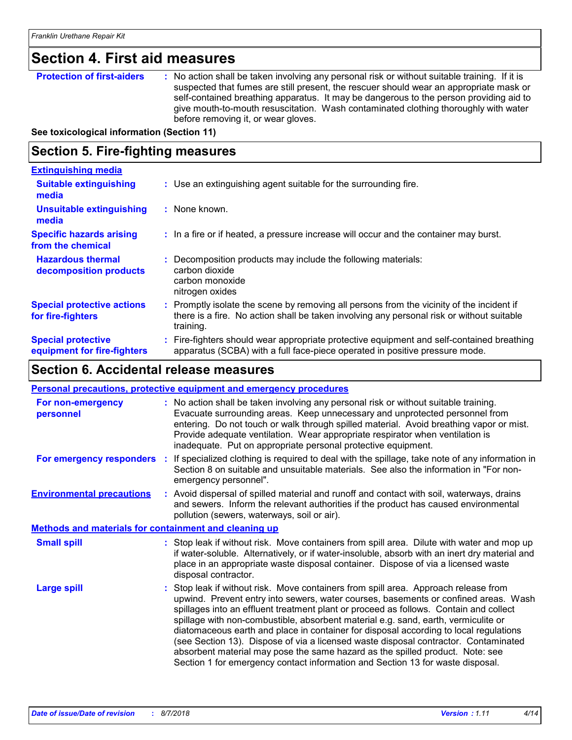## **Section 4. First aid measures**

**Protection of first-aiders** : No action shall be taken involving any personal risk or without suitable training. If it is suspected that fumes are still present, the rescuer should wear an appropriate mask or self-contained breathing apparatus. It may be dangerous to the person providing aid to give mouth-to-mouth resuscitation. Wash contaminated clothing thoroughly with water before removing it, or wear gloves.

#### **See toxicological information (Section 11)**

### **Section 5. Fire-fighting measures**

| <b>Extinguishing media</b>                               |                                                                                                                                                                                                   |  |
|----------------------------------------------------------|---------------------------------------------------------------------------------------------------------------------------------------------------------------------------------------------------|--|
| <b>Suitable extinguishing</b><br>media                   | : Use an extinguishing agent suitable for the surrounding fire.                                                                                                                                   |  |
| <b>Unsuitable extinguishing</b><br>media                 | : None known.                                                                                                                                                                                     |  |
| <b>Specific hazards arising</b><br>from the chemical     | : In a fire or if heated, a pressure increase will occur and the container may burst.                                                                                                             |  |
| <b>Hazardous thermal</b><br>decomposition products       | : Decomposition products may include the following materials:<br>carbon dioxide<br>carbon monoxide<br>nitrogen oxides                                                                             |  |
| <b>Special protective actions</b><br>for fire-fighters   | Promptly isolate the scene by removing all persons from the vicinity of the incident if<br>there is a fire. No action shall be taken involving any personal risk or without suitable<br>training. |  |
| <b>Special protective</b><br>equipment for fire-fighters | : Fire-fighters should wear appropriate protective equipment and self-contained breathing<br>apparatus (SCBA) with a full face-piece operated in positive pressure mode.                          |  |

### **Section 6. Accidental release measures**

|                                                       |  | Personal precautions, protective equipment and emergency procedures                                                                                                                                                                                                                                                                                                                                                                                                                                                                                                                                                                                                                                          |  |
|-------------------------------------------------------|--|--------------------------------------------------------------------------------------------------------------------------------------------------------------------------------------------------------------------------------------------------------------------------------------------------------------------------------------------------------------------------------------------------------------------------------------------------------------------------------------------------------------------------------------------------------------------------------------------------------------------------------------------------------------------------------------------------------------|--|
| For non-emergency<br>personnel                        |  | : No action shall be taken involving any personal risk or without suitable training.<br>Evacuate surrounding areas. Keep unnecessary and unprotected personnel from<br>entering. Do not touch or walk through spilled material. Avoid breathing vapor or mist.<br>Provide adequate ventilation. Wear appropriate respirator when ventilation is<br>inadequate. Put on appropriate personal protective equipment.                                                                                                                                                                                                                                                                                             |  |
|                                                       |  | For emergency responders : If specialized clothing is required to deal with the spillage, take note of any information in<br>Section 8 on suitable and unsuitable materials. See also the information in "For non-<br>emergency personnel".                                                                                                                                                                                                                                                                                                                                                                                                                                                                  |  |
| <b>Environmental precautions</b>                      |  | : Avoid dispersal of spilled material and runoff and contact with soil, waterways, drains<br>and sewers. Inform the relevant authorities if the product has caused environmental<br>pollution (sewers, waterways, soil or air).                                                                                                                                                                                                                                                                                                                                                                                                                                                                              |  |
| Methods and materials for containment and cleaning up |  |                                                                                                                                                                                                                                                                                                                                                                                                                                                                                                                                                                                                                                                                                                              |  |
| <b>Small spill</b>                                    |  | : Stop leak if without risk. Move containers from spill area. Dilute with water and mop up<br>if water-soluble. Alternatively, or if water-insoluble, absorb with an inert dry material and<br>place in an appropriate waste disposal container. Dispose of via a licensed waste<br>disposal contractor.                                                                                                                                                                                                                                                                                                                                                                                                     |  |
| <b>Large spill</b>                                    |  | : Stop leak if without risk. Move containers from spill area. Approach release from<br>upwind. Prevent entry into sewers, water courses, basements or confined areas. Wash<br>spillages into an effluent treatment plant or proceed as follows. Contain and collect<br>spillage with non-combustible, absorbent material e.g. sand, earth, vermiculite or<br>diatomaceous earth and place in container for disposal according to local regulations<br>(see Section 13). Dispose of via a licensed waste disposal contractor. Contaminated<br>absorbent material may pose the same hazard as the spilled product. Note: see<br>Section 1 for emergency contact information and Section 13 for waste disposal. |  |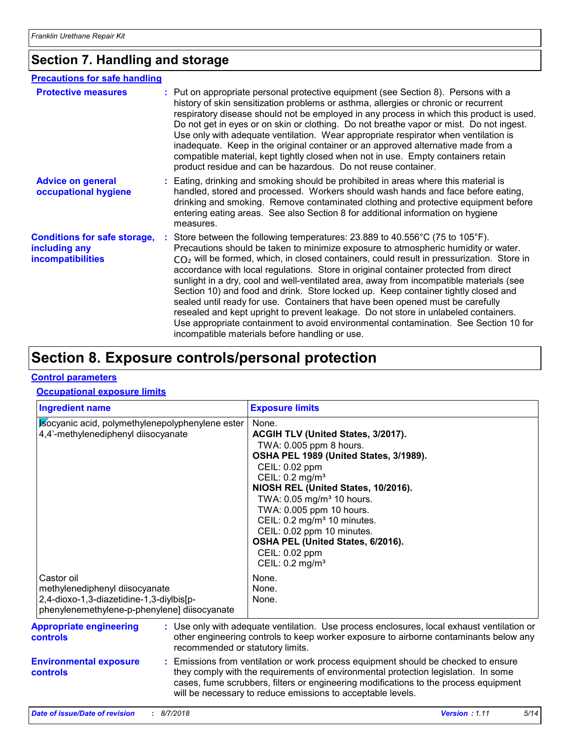## **Section 7. Handling and storage**

#### **Precautions for safe handling**

| <b>Protective measures</b>                                                       | : Put on appropriate personal protective equipment (see Section 8). Persons with a<br>history of skin sensitization problems or asthma, allergies or chronic or recurrent<br>respiratory disease should not be employed in any process in which this product is used.<br>Do not get in eyes or on skin or clothing. Do not breathe vapor or mist. Do not ingest.<br>Use only with adequate ventilation. Wear appropriate respirator when ventilation is<br>inadequate. Keep in the original container or an approved alternative made from a<br>compatible material, kept tightly closed when not in use. Empty containers retain<br>product residue and can be hazardous. Do not reuse container.                                                                                                                                                                                   |
|----------------------------------------------------------------------------------|--------------------------------------------------------------------------------------------------------------------------------------------------------------------------------------------------------------------------------------------------------------------------------------------------------------------------------------------------------------------------------------------------------------------------------------------------------------------------------------------------------------------------------------------------------------------------------------------------------------------------------------------------------------------------------------------------------------------------------------------------------------------------------------------------------------------------------------------------------------------------------------|
| <b>Advice on general</b><br>occupational hygiene                                 | : Eating, drinking and smoking should be prohibited in areas where this material is<br>handled, stored and processed. Workers should wash hands and face before eating,<br>drinking and smoking. Remove contaminated clothing and protective equipment before<br>entering eating areas. See also Section 8 for additional information on hygiene<br>measures.                                                                                                                                                                                                                                                                                                                                                                                                                                                                                                                        |
| <b>Conditions for safe storage,</b><br>including any<br><i>incompatibilities</i> | : Store between the following temperatures: $23.889$ to $40.556^{\circ}$ C (75 to $105^{\circ}$ F).<br>Precautions should be taken to minimize exposure to atmospheric humidity or water.<br>$CO2$ will be formed, which, in closed containers, could result in pressurization. Store in<br>accordance with local regulations. Store in original container protected from direct<br>sunlight in a dry, cool and well-ventilated area, away from incompatible materials (see<br>Section 10) and food and drink. Store locked up. Keep container tightly closed and<br>sealed until ready for use. Containers that have been opened must be carefully<br>resealed and kept upright to prevent leakage. Do not store in unlabeled containers.<br>Use appropriate containment to avoid environmental contamination. See Section 10 for<br>incompatible materials before handling or use. |

## **Section 8. Exposure controls/personal protection**

#### **Control parameters**

#### **Occupational exposure limits**

| <b>Ingredient name</b>                                                                                                                                                                                                              |                                  | <b>Exposure limits</b>                                                                                                                                                                                                                                                                                                                                                                                                                                                  |
|-------------------------------------------------------------------------------------------------------------------------------------------------------------------------------------------------------------------------------------|----------------------------------|-------------------------------------------------------------------------------------------------------------------------------------------------------------------------------------------------------------------------------------------------------------------------------------------------------------------------------------------------------------------------------------------------------------------------------------------------------------------------|
| Isocyanic acid, polymethylenepolyphenylene ester<br>4,4'-methylenediphenyl diisocyanate<br>Castor oil<br>methylenediphenyl diisocyanate<br>2,4-dioxo-1,3-diazetidine-1,3-diylbis[p-<br>phenylenemethylene-p-phenylene] diisocyanate |                                  | None.<br>ACGIH TLV (United States, 3/2017).<br>TWA: 0.005 ppm 8 hours.<br>OSHA PEL 1989 (United States, 3/1989).<br>CEIL: 0.02 ppm<br>CEIL: 0.2 mg/m <sup>3</sup><br>NIOSH REL (United States, 10/2016).<br>TWA: 0.05 mg/m <sup>3</sup> 10 hours.<br>TWA: 0.005 ppm 10 hours.<br>CEIL: 0.2 mg/m <sup>3</sup> 10 minutes.<br>CEIL: 0.02 ppm 10 minutes.<br>OSHA PEL (United States, 6/2016).<br>CEIL: 0.02 ppm<br>CEIL: 0.2 mg/m <sup>3</sup><br>None.<br>None.<br>None. |
| <b>Appropriate engineering</b><br><b>controls</b>                                                                                                                                                                                   | recommended or statutory limits. | : Use only with adequate ventilation. Use process enclosures, local exhaust ventilation or<br>other engineering controls to keep worker exposure to airborne contaminants below any                                                                                                                                                                                                                                                                                     |
| <b>Environmental exposure</b><br>controls                                                                                                                                                                                           |                                  | Emissions from ventilation or work process equipment should be checked to ensure<br>they comply with the requirements of environmental protection legislation. In some<br>cases, fume scrubbers, filters or engineering modifications to the process equipment<br>will be necessary to reduce emissions to acceptable levels.                                                                                                                                           |
| <b>Date of issue/Date of revision</b>                                                                                                                                                                                               | : 8/7/2018                       | Version: 1.11<br>5/14                                                                                                                                                                                                                                                                                                                                                                                                                                                   |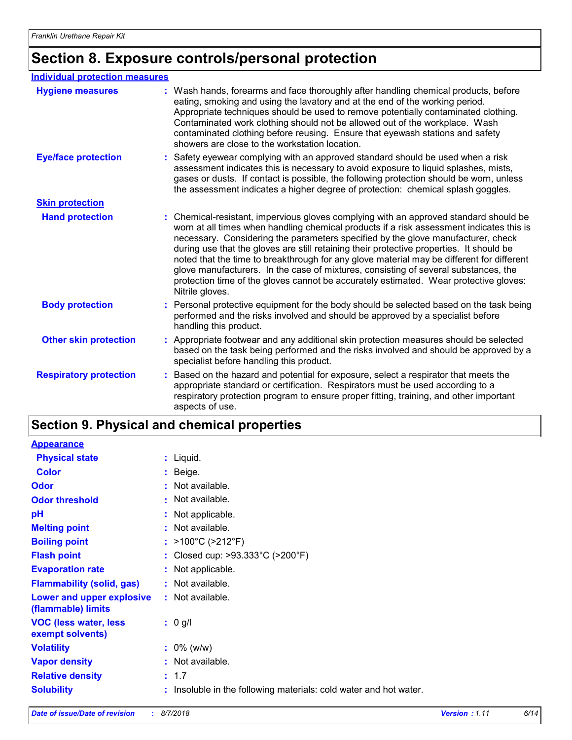## **Section 8. Exposure controls/personal protection**

| <b>Individual protection measures</b> |                                                                                                                                                                                                                                                                                                                                                                                                                                                                                                                                                                                                                                                                   |
|---------------------------------------|-------------------------------------------------------------------------------------------------------------------------------------------------------------------------------------------------------------------------------------------------------------------------------------------------------------------------------------------------------------------------------------------------------------------------------------------------------------------------------------------------------------------------------------------------------------------------------------------------------------------------------------------------------------------|
| <b>Hygiene measures</b>               | : Wash hands, forearms and face thoroughly after handling chemical products, before<br>eating, smoking and using the lavatory and at the end of the working period.<br>Appropriate techniques should be used to remove potentially contaminated clothing.<br>Contaminated work clothing should not be allowed out of the workplace. Wash<br>contaminated clothing before reusing. Ensure that eyewash stations and safety<br>showers are close to the workstation location.                                                                                                                                                                                       |
| <b>Eye/face protection</b>            | : Safety eyewear complying with an approved standard should be used when a risk<br>assessment indicates this is necessary to avoid exposure to liquid splashes, mists,<br>gases or dusts. If contact is possible, the following protection should be worn, unless<br>the assessment indicates a higher degree of protection: chemical splash goggles.                                                                                                                                                                                                                                                                                                             |
| <b>Skin protection</b>                |                                                                                                                                                                                                                                                                                                                                                                                                                                                                                                                                                                                                                                                                   |
| <b>Hand protection</b>                | : Chemical-resistant, impervious gloves complying with an approved standard should be<br>worn at all times when handling chemical products if a risk assessment indicates this is<br>necessary. Considering the parameters specified by the glove manufacturer, check<br>during use that the gloves are still retaining their protective properties. It should be<br>noted that the time to breakthrough for any glove material may be different for different<br>glove manufacturers. In the case of mixtures, consisting of several substances, the<br>protection time of the gloves cannot be accurately estimated. Wear protective gloves:<br>Nitrile gloves. |
| <b>Body protection</b>                | : Personal protective equipment for the body should be selected based on the task being<br>performed and the risks involved and should be approved by a specialist before<br>handling this product.                                                                                                                                                                                                                                                                                                                                                                                                                                                               |
| <b>Other skin protection</b>          | : Appropriate footwear and any additional skin protection measures should be selected<br>based on the task being performed and the risks involved and should be approved by a<br>specialist before handling this product.                                                                                                                                                                                                                                                                                                                                                                                                                                         |
| <b>Respiratory protection</b>         | Based on the hazard and potential for exposure, select a respirator that meets the<br>appropriate standard or certification. Respirators must be used according to a<br>respiratory protection program to ensure proper fitting, training, and other important<br>aspects of use.                                                                                                                                                                                                                                                                                                                                                                                 |

## **Section 9. Physical and chemical properties**

| <b>Appearance</b>                                 |                                                                 |
|---------------------------------------------------|-----------------------------------------------------------------|
| <b>Physical state</b>                             | $:$ Liquid.                                                     |
| <b>Color</b>                                      | $:$ Beige.                                                      |
| <b>Odor</b>                                       | : Not available.                                                |
| <b>Odor threshold</b>                             | : Not available.                                                |
| pH                                                | : Not applicable.                                               |
| <b>Melting point</b>                              | : Not available.                                                |
| <b>Boiling point</b>                              | : $>100^{\circ}$ C ( $>212^{\circ}$ F)                          |
| <b>Flash point</b>                                | : Closed cup: $>93.333^{\circ}$ C ( $>200^{\circ}$ F)           |
| <b>Evaporation rate</b>                           | : Not applicable.                                               |
| <b>Flammability (solid, gas)</b>                  | : Not available.                                                |
| Lower and upper explosive<br>(flammable) limits   | : Not available.                                                |
| <b>VOC (less water, less)</b><br>exempt solvents) | $: 0$ g/l                                                       |
| <b>Volatility</b>                                 | $: 0\%$ (w/w)                                                   |
| <b>Vapor density</b>                              | $:$ Not available.                                              |
| <b>Relative density</b>                           | : 1.7                                                           |
| <b>Solubility</b>                                 | Insoluble in the following materials: cold water and hot water. |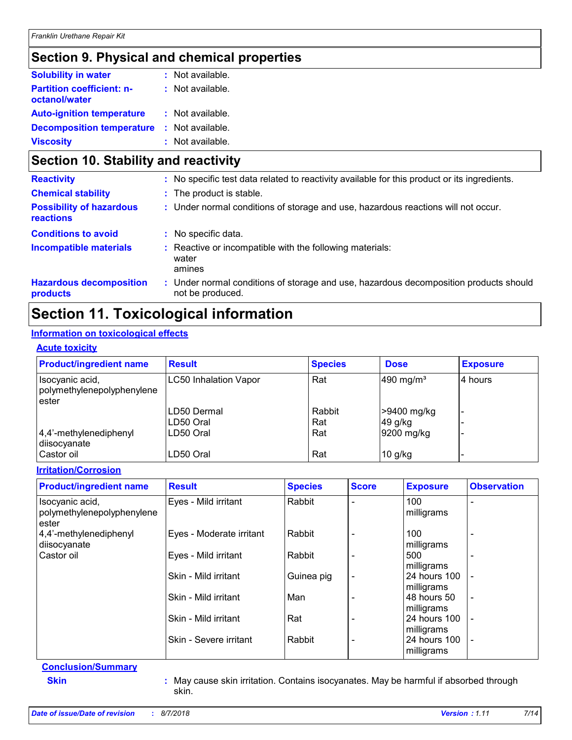## **Section 9. Physical and chemical properties**

| <b>Solubility in water</b>                        | $:$ Not available. |
|---------------------------------------------------|--------------------|
| <b>Partition coefficient: n-</b><br>octanol/water | : Not available.   |
| <b>Auto-ignition temperature</b>                  | : Not available.   |
| <b>Decomposition temperature</b>                  | : Not available.   |
| <b>Viscosity</b>                                  | : Not available.   |

## **Section 10. Stability and reactivity**

| <b>Reactivity</b>                                   | : No specific test data related to reactivity available for this product or its ingredients.              |
|-----------------------------------------------------|-----------------------------------------------------------------------------------------------------------|
| <b>Chemical stability</b>                           | : The product is stable.                                                                                  |
| <b>Possibility of hazardous</b><br><b>reactions</b> | : Under normal conditions of storage and use, hazardous reactions will not occur.                         |
| <b>Conditions to avoid</b>                          | : No specific data.                                                                                       |
| <b>Incompatible materials</b>                       | Reactive or incompatible with the following materials:<br>water<br>amines                                 |
| <b>Hazardous decomposition</b><br>products          | : Under normal conditions of storage and use, hazardous decomposition products should<br>not be produced. |

## **Section 11. Toxicological information**

#### **Information on toxicological effects**

#### **Acute toxicity**

| <b>Product/ingredient name</b>                | <b>Result</b>                | <b>Species</b> | <b>Dose</b>           | <b>Exposure</b> |
|-----------------------------------------------|------------------------------|----------------|-----------------------|-----------------|
| Isocyanic acid,<br>polymethylenepolyphenylene | <b>LC50 Inhalation Vapor</b> | Rat            | 490 mg/m <sup>3</sup> | 14 hours        |
| ester                                         |                              |                |                       |                 |
|                                               | LD50 Dermal                  | Rabbit         | >9400 mg/kg           |                 |
|                                               | LD50 Oral                    | Rat            | 49 g/kg               |                 |
| $ 4,4'$ -methylenediphenyl<br>diisocyanate    | LD50 Oral                    | Rat            | 9200 mg/kg            |                 |
| l Castor oil                                  | LD50 Oral                    | Rat            | $10$ g/kg             |                 |

#### **Irritation/Corrosion**

| <b>Product/ingredient name</b>                         | <b>Result</b>            | <b>Species</b> | <b>Score</b>             | <b>Exposure</b>            | <b>Observation</b>       |
|--------------------------------------------------------|--------------------------|----------------|--------------------------|----------------------------|--------------------------|
| Isocyanic acid,<br>polymethylenepolyphenylene<br>ester | Eyes - Mild irritant     | Rabbit         |                          | 100<br>milligrams          | $\overline{\phantom{0}}$ |
| 4,4'-methylenediphenyl<br>diisocyanate                 | Eyes - Moderate irritant | Rabbit         |                          | 100<br>milligrams          | $\overline{\phantom{0}}$ |
| Castor oil                                             | Eyes - Mild irritant     | Rabbit         |                          | 500<br>milligrams          |                          |
|                                                        | Skin - Mild irritant     | Guinea pig     | $\overline{\phantom{a}}$ | 24 hours 100<br>milligrams | $\overline{a}$           |
|                                                        | Skin - Mild irritant     | Man            |                          | 48 hours 50<br>milligrams  | $\blacksquare$           |
|                                                        | Skin - Mild irritant     | Rat            |                          | 24 hours 100<br>milligrams |                          |
|                                                        | Skin - Severe irritant   | Rabbit         |                          | 24 hours 100<br>milligrams | $\blacksquare$           |

## **Conclusion/Summary**

**Skin :** May cause skin irritation. Contains isocyanates. May be harmful if absorbed through skin.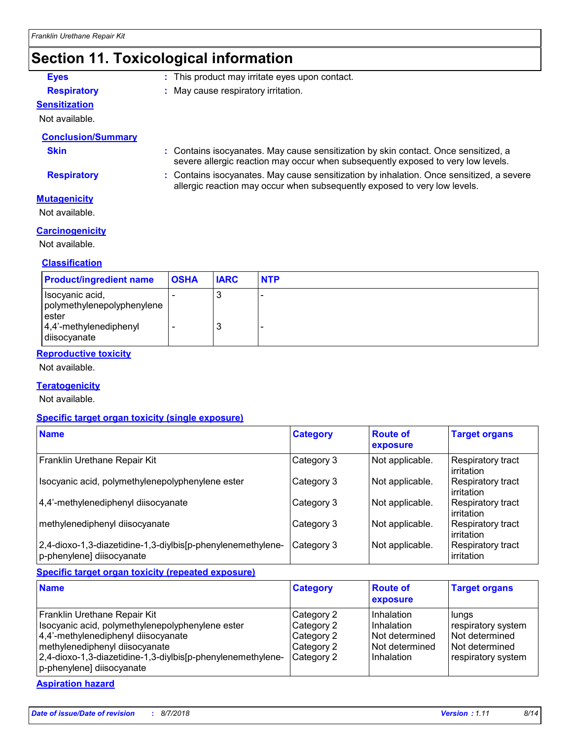## **Section 11. Toxicological information**

- **Eyes :** This product may irritate eyes upon contact.
- **Respiratory :** May cause respiratory irritation.

## **Sensitization**

Not available.

#### **Conclusion/Summary**

**Skin Example 20 Skin :** Contains isocyanates. May cause sensitization by skin contact. Once sensitized, a severe allergic reaction may occur when subsequently exposed to very low levels.

**Respiratory :** Contains isocyanates. May cause sensitization by inhalation. Once sensitized, a severe allergic reaction may occur when subsequently exposed to very low levels.

#### **Mutagenicity**

Not available.

#### **Carcinogenicity**

Not available.

#### **Classification**

| <b>Product/ingredient name</b>                                                                       | <b>OSHA</b> | <b>IARC</b> | <b>NTP</b> |
|------------------------------------------------------------------------------------------------------|-------------|-------------|------------|
| Isocyanic acid,<br>polymethylenepolyphenylene<br>ester<br>$ 4,4$ '-methylenediphenyl<br>diisocyanate |             | 3<br>3      |            |

#### **Reproductive toxicity**

Not available.

#### **Teratogenicity**

Not available.

#### **Specific target organ toxicity (single exposure)**

| <b>Name</b>                                                                              | <b>Category</b> | <b>Route of</b><br>exposure | <b>Target organs</b>            |
|------------------------------------------------------------------------------------------|-----------------|-----------------------------|---------------------------------|
| Franklin Urethane Repair Kit                                                             | Category 3      | Not applicable.             | Respiratory tract<br>irritation |
| Isocyanic acid, polymethylenepolyphenylene ester                                         | Category 3      | Not applicable.             | Respiratory tract<br>irritation |
| 4,4'-methylenediphenyl diisocyanate                                                      | Category 3      | Not applicable.             | Respiratory tract<br>irritation |
| methylenediphenyl diisocyanate                                                           | Category 3      | Not applicable.             | Respiratory tract<br>irritation |
| 2,4-dioxo-1,3-diazetidine-1,3-diylbis[p-phenylenemethylene-<br>p-phenylene] diisocyanate | Category 3      | Not applicable.             | Respiratory tract<br>irritation |

#### **Specific target organ toxicity (repeated exposure)**

| <b>Name</b>                                                                                                                                                                                                                                           | <b>Category</b>                                                    | <b>Route of</b><br>exposure                                                    | <b>Target organs</b>                                                                  |
|-------------------------------------------------------------------------------------------------------------------------------------------------------------------------------------------------------------------------------------------------------|--------------------------------------------------------------------|--------------------------------------------------------------------------------|---------------------------------------------------------------------------------------|
| Franklin Urethane Repair Kit<br>Isocyanic acid, polymethylenepolyphenylene ester<br>4,4'-methylenediphenyl diisocyanate<br>methylenediphenyl diisocyanate<br>2,4-dioxo-1,3-diazetidine-1,3-diylbis[p-phenylenemethylene-<br>p-phenylene] diisocyanate | Category 2<br>Category 2<br>Category 2<br>Category 2<br>Category 2 | Inhalation<br>Inhalation<br>I Not determined<br>l Not determined<br>Inhalation | lungs<br>respiratory system<br>Not determined<br>Not determined<br>respiratory system |

#### **Aspiration hazard**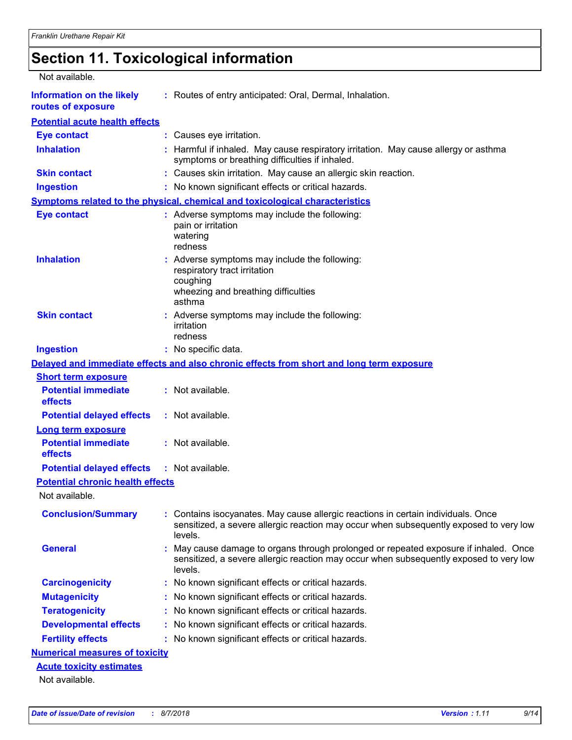## **Section 11. Toxicological information**

| Not available.                                         |                                                                                                                                                                                           |
|--------------------------------------------------------|-------------------------------------------------------------------------------------------------------------------------------------------------------------------------------------------|
| <b>Information on the likely</b><br>routes of exposure | : Routes of entry anticipated: Oral, Dermal, Inhalation.                                                                                                                                  |
| <b>Potential acute health effects</b>                  |                                                                                                                                                                                           |
| <b>Eye contact</b>                                     | : Causes eye irritation.                                                                                                                                                                  |
| <b>Inhalation</b>                                      | : Harmful if inhaled. May cause respiratory irritation. May cause allergy or asthma<br>symptoms or breathing difficulties if inhaled.                                                     |
| <b>Skin contact</b>                                    | : Causes skin irritation. May cause an allergic skin reaction.                                                                                                                            |
| <b>Ingestion</b>                                       | : No known significant effects or critical hazards.                                                                                                                                       |
|                                                        | Symptoms related to the physical, chemical and toxicological characteristics                                                                                                              |
| <b>Eye contact</b>                                     | : Adverse symptoms may include the following:<br>pain or irritation<br>watering<br>redness                                                                                                |
| <b>Inhalation</b>                                      | : Adverse symptoms may include the following:<br>respiratory tract irritation<br>coughing<br>wheezing and breathing difficulties<br>asthma                                                |
| <b>Skin contact</b>                                    | : Adverse symptoms may include the following:<br>irritation<br>redness                                                                                                                    |
| <b>Ingestion</b>                                       | : No specific data.                                                                                                                                                                       |
|                                                        | Delayed and immediate effects and also chronic effects from short and long term exposure                                                                                                  |
| <b>Short term exposure</b>                             |                                                                                                                                                                                           |
| <b>Potential immediate</b><br>effects                  | : Not available.                                                                                                                                                                          |
| <b>Potential delayed effects</b>                       | : Not available.                                                                                                                                                                          |
| <b>Long term exposure</b>                              |                                                                                                                                                                                           |
| <b>Potential immediate</b><br>effects                  | : Not available.                                                                                                                                                                          |
| <b>Potential delayed effects : Not available.</b>      |                                                                                                                                                                                           |
| <b>Potential chronic health effects</b>                |                                                                                                                                                                                           |
| Not available.                                         |                                                                                                                                                                                           |
| <b>Conclusion/Summary</b>                              | : Contains isocyanates. May cause allergic reactions in certain individuals. Once<br>sensitized, a severe allergic reaction may occur when subsequently exposed to very low<br>levels.    |
| <b>General</b>                                         | : May cause damage to organs through prolonged or repeated exposure if inhaled. Once<br>sensitized, a severe allergic reaction may occur when subsequently exposed to very low<br>levels. |
| <b>Carcinogenicity</b>                                 | : No known significant effects or critical hazards.                                                                                                                                       |
| <b>Mutagenicity</b>                                    | : No known significant effects or critical hazards.                                                                                                                                       |
| <b>Teratogenicity</b>                                  | : No known significant effects or critical hazards.                                                                                                                                       |
| <b>Developmental effects</b>                           | : No known significant effects or critical hazards.                                                                                                                                       |
| <b>Fertility effects</b>                               | : No known significant effects or critical hazards.                                                                                                                                       |
| <b>Numerical measures of toxicity</b>                  |                                                                                                                                                                                           |
| <b>Acute toxicity estimates</b>                        |                                                                                                                                                                                           |
| Not available.                                         |                                                                                                                                                                                           |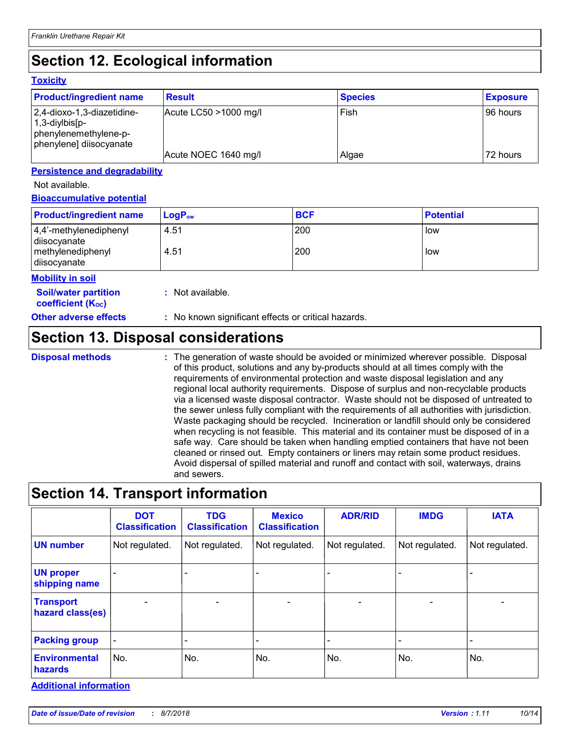## **Section 12. Ecological information**

#### **Toxicity**

| <b>Product/ingredient name</b>                                                                          | <b>Result</b>         | <b>Species</b> | <b>Exposure</b> |
|---------------------------------------------------------------------------------------------------------|-----------------------|----------------|-----------------|
| 2,4-dioxo-1,3-diazetidine-<br>$ 1,3$ -diylbis $ p-$<br>phenylenemethylene-p-<br>phenylene] diisocyanate | Acute LC50 >1000 mg/l | Fish           | l 96 hours i    |
|                                                                                                         | Acute NOEC 1640 mg/l  | Algae          | 72 hours        |

#### **Persistence and degradability**

#### Not available.

#### **Bioaccumulative potential**

| <b>Product/ingredient name</b>                              | $\mathsf{LogP}_\mathsf{ow}$ | <b>BCF</b> | <b>Potential</b> |
|-------------------------------------------------------------|-----------------------------|------------|------------------|
| 4,4'-methylenediphenyl<br>diisocyanate<br>methylenediphenyl | 4.51<br>4.51                | 200<br>200 | low<br>low       |
| disocyanate                                                 |                             |            |                  |

#### **Mobility in soil**

**Soil/water partition coefficient (KOC)**

**:** Not available.

**Other adverse effects** : No known significant effects or critical hazards.

## **Section 13. Disposal considerations**

```
Disposal methods :
```
The generation of waste should be avoided or minimized wherever possible. Disposal of this product, solutions and any by-products should at all times comply with the requirements of environmental protection and waste disposal legislation and any regional local authority requirements. Dispose of surplus and non-recyclable products via a licensed waste disposal contractor. Waste should not be disposed of untreated to the sewer unless fully compliant with the requirements of all authorities with jurisdiction. Waste packaging should be recycled. Incineration or landfill should only be considered when recycling is not feasible. This material and its container must be disposed of in a safe way. Care should be taken when handling emptied containers that have not been cleaned or rinsed out. Empty containers or liners may retain some product residues. Avoid dispersal of spilled material and runoff and contact with soil, waterways, drains and sewers.

## **Section 14. Transport information**

|                                      | <b>DOT</b><br><b>Classification</b> | <b>TDG</b><br><b>Classification</b> | <b>Mexico</b><br><b>Classification</b> | <b>ADR/RID</b> | <b>IMDG</b>    | <b>IATA</b>              |
|--------------------------------------|-------------------------------------|-------------------------------------|----------------------------------------|----------------|----------------|--------------------------|
| <b>UN number</b>                     | Not regulated.                      | Not regulated.                      | Not regulated.                         | Not regulated. | Not regulated. | Not regulated.           |
| <b>UN proper</b><br>shipping name    | $\qquad \qquad -$                   |                                     |                                        |                |                | $\blacksquare$           |
| <b>Transport</b><br>hazard class(es) | $\blacksquare$                      | $\overline{\phantom{0}}$            | $\blacksquare$                         | $\blacksquare$ | $\blacksquare$ | $\overline{\phantom{0}}$ |
| <b>Packing group</b>                 | $\overline{\phantom{a}}$            |                                     |                                        | -              |                | -                        |
| <b>Environmental</b><br>hazards      | No.                                 | No.                                 | No.                                    | No.            | No.            | No.                      |

**Additional information**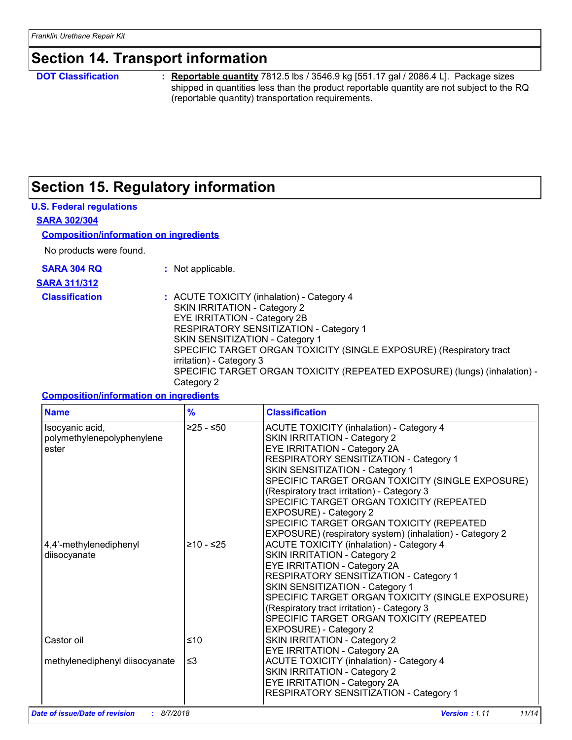## **Section 14. Transport information**

**DOT Classification :**

**Reportable quantity** 7812.5 lbs / 3546.9 kg [551.17 gal / 2086.4 L]. Package sizes shipped in quantities less than the product reportable quantity are not subject to the RQ (reportable quantity) transportation requirements.

## **Section 15. Regulatory information**

#### **U.S. Federal regulations**

#### **SARA 302/304**

#### **Composition/information on ingredients**

No products were found.

**SARA 304 RQ :** Not applicable.

- **SARA 311/312**
- 

|  | Not applicable. |  |
|--|-----------------|--|
|  |                 |  |
|  |                 |  |

**Classification :** ACUTE TOXICITY (inhalation) - Category 4 SKIN IRRITATION - Category 2 EYE IRRITATION - Category 2B RESPIRATORY SENSITIZATION - Category 1 SKIN SENSITIZATION - Category 1 SPECIFIC TARGET ORGAN TOXICITY (SINGLE EXPOSURE) (Respiratory tract irritation) - Category 3 SPECIFIC TARGET ORGAN TOXICITY (REPEATED EXPOSURE) (lungs) (inhalation) - Category 2

#### **Composition/information on ingredients**

| <b>Name</b>                                            | $\frac{9}{6}$ | <b>Classification</b>                                                                                                                                                                                                                                                                                                                                                                                                                                                         |
|--------------------------------------------------------|---------------|-------------------------------------------------------------------------------------------------------------------------------------------------------------------------------------------------------------------------------------------------------------------------------------------------------------------------------------------------------------------------------------------------------------------------------------------------------------------------------|
| Isocyanic acid,<br>polymethylenepolyphenylene<br>ester | ≥25 - ≤50     | <b>ACUTE TOXICITY (inhalation) - Category 4</b><br>SKIN IRRITATION - Category 2<br>EYE IRRITATION - Category 2A<br>RESPIRATORY SENSITIZATION - Category 1<br>SKIN SENSITIZATION - Category 1<br>SPECIFIC TARGET ORGAN TOXICITY (SINGLE EXPOSURE)<br>(Respiratory tract irritation) - Category 3<br>SPECIFIC TARGET ORGAN TOXICITY (REPEATED<br>EXPOSURE) - Category 2<br>SPECIFIC TARGET ORGAN TOXICITY (REPEATED<br>EXPOSURE) (respiratory system) (inhalation) - Category 2 |
| 4,4'-methylenediphenyl<br>diisocyanate                 | $≥10 - ≤25$   | <b>ACUTE TOXICITY (inhalation) - Category 4</b><br>SKIN IRRITATION - Category 2<br>EYE IRRITATION - Category 2A<br>RESPIRATORY SENSITIZATION - Category 1<br>SKIN SENSITIZATION - Category 1<br>SPECIFIC TARGET ORGAN TOXICITY (SINGLE EXPOSURE)<br>(Respiratory tract irritation) - Category 3<br>SPECIFIC TARGET ORGAN TOXICITY (REPEATED<br>EXPOSURE) - Category 2                                                                                                         |
| Castor oil                                             | ≤10           | SKIN IRRITATION - Category 2<br>EYE IRRITATION - Category 2A                                                                                                                                                                                                                                                                                                                                                                                                                  |
| methylenediphenyl diisocyanate                         | $\leq$ 3      | <b>ACUTE TOXICITY (inhalation) - Category 4</b><br>SKIN IRRITATION - Category 2<br>EYE IRRITATION - Category 2A<br>RESPIRATORY SENSITIZATION - Category 1                                                                                                                                                                                                                                                                                                                     |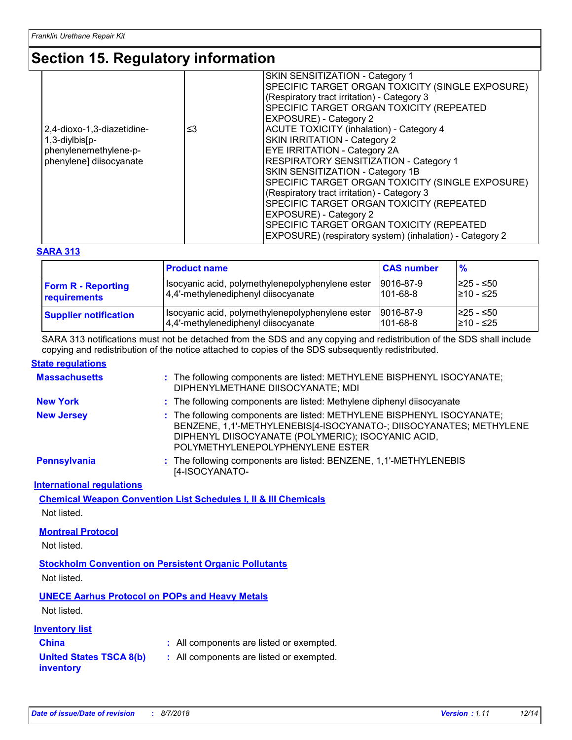## **Section 15. Regulatory information**

| 2,4-dioxo-1,3-diazetidine-<br>≤3<br>1,3-diylbis[p-<br>phenylenemethylene-p-<br>phenylene] diisocyanate |  | SKIN SENSITIZATION - Category 1<br>SPECIFIC TARGET ORGAN TOXICITY (SINGLE EXPOSURE)<br>(Respiratory tract irritation) - Category 3<br>SPECIFIC TARGET ORGAN TOXICITY (REPEATED<br>EXPOSURE) - Category 2<br>ACUTE TOXICITY (inhalation) - Category 4<br>SKIN IRRITATION - Category 2<br><b>EYE IRRITATION - Category 2A</b><br><b>RESPIRATORY SENSITIZATION - Category 1</b><br>SKIN SENSITIZATION - Category 1B<br>SPECIFIC TARGET ORGAN TOXICITY (SINGLE EXPOSURE)<br>(Respiratory tract irritation) - Category 3<br>SPECIFIC TARGET ORGAN TOXICITY (REPEATED |  |  |
|--------------------------------------------------------------------------------------------------------|--|-----------------------------------------------------------------------------------------------------------------------------------------------------------------------------------------------------------------------------------------------------------------------------------------------------------------------------------------------------------------------------------------------------------------------------------------------------------------------------------------------------------------------------------------------------------------|--|--|
|                                                                                                        |  | EXPOSURE) - Category 2<br>SPECIFIC TARGET ORGAN TOXICITY (REPEATED<br>EXPOSURE) (respiratory system) (inhalation) - Category 2                                                                                                                                                                                                                                                                                                                                                                                                                                  |  |  |

#### **SARA 313**

|                              | <b>Product name</b>                              | <b>CAS number</b> | $\frac{9}{6}$ |
|------------------------------|--------------------------------------------------|-------------------|---------------|
| <b>Form R - Reporting</b>    | Isocyanic acid, polymethylenepolyphenylene ester | 9016-87-9         | I≥25 - ≤50    |
| requirements                 | 4,4'-methylenediphenyl diisocyanate              | $101 - 68 - 8$    | 210 - ≤25     |
| <b>Supplier notification</b> | Isocyanic acid, polymethylenepolyphenylene ester | 9016-87-9         | l≥25 - ≤50    |
|                              | 4,4'-methylenediphenyl diisocyanate              | $101 - 68 - 8$    | l≥10 - ≤25    |

SARA 313 notifications must not be detached from the SDS and any copying and redistribution of the SDS shall include copying and redistribution of the notice attached to copies of the SDS subsequently redistributed.

#### **State regulations**

| <b>Massachusetts</b>                                         | : The following components are listed: METHYLENE BISPHENYL ISOCYANATE;<br>DIPHENYLMETHANE DIISOCYANATE; MDI                                                                                                                            |
|--------------------------------------------------------------|----------------------------------------------------------------------------------------------------------------------------------------------------------------------------------------------------------------------------------------|
| <b>New York</b>                                              | : The following components are listed: Methylene diphenyl diisocyanate                                                                                                                                                                 |
| <b>New Jersey</b>                                            | : The following components are listed: METHYLENE BISPHENYL ISOCYANATE;<br>BENZENE, 1,1'-METHYLENEBIS[4-ISOCYANATO-; DIISOCYANATES; METHYLENE<br>DIPHENYL DIISOCYANATE (POLYMERIC); ISOCYANIC ACID,<br>POLYMETHYLENEPOLYPHENYLENE ESTER |
| <b>Pennsylvania</b>                                          | : The following components are listed: BENZENE, 1,1'-METHYLENEBIS<br>[4-ISOCYANATO-                                                                                                                                                    |
| <b>International regulations</b>                             |                                                                                                                                                                                                                                        |
|                                                              | <b>Chemical Weapon Convention List Schedules I, II &amp; III Chemicals</b>                                                                                                                                                             |
| Not listed.                                                  |                                                                                                                                                                                                                                        |
| <b>Montreal Protocol</b>                                     |                                                                                                                                                                                                                                        |
| Not listed.                                                  |                                                                                                                                                                                                                                        |
| <b>Stockholm Convention on Persistent Organic Pollutants</b> |                                                                                                                                                                                                                                        |
| Not listed.                                                  |                                                                                                                                                                                                                                        |
| <b>UNECE Aarhus Protocol on POPs and Heavy Metals</b>        |                                                                                                                                                                                                                                        |
| Not listed.                                                  |                                                                                                                                                                                                                                        |
| <b>Inventory list</b>                                        |                                                                                                                                                                                                                                        |
| <b>China</b>                                                 | : All components are listed or exempted.                                                                                                                                                                                               |
| <b>United States TSCA 8(b)</b><br>inventory                  | : All components are listed or exempted.                                                                                                                                                                                               |
|                                                              |                                                                                                                                                                                                                                        |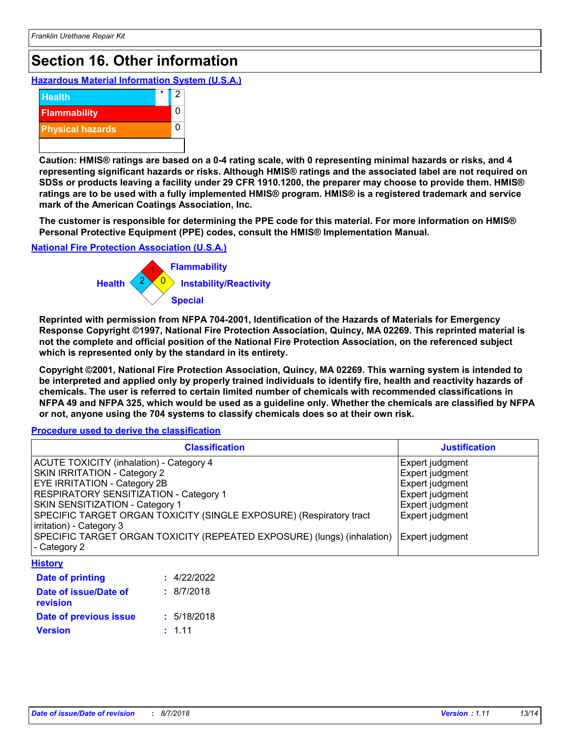## **Section 16. Other information**

**Hazardous Material Information System (U.S.A.)**



**Caution: HMIS® ratings are based on a 0-4 rating scale, with 0 representing minimal hazards or risks, and 4 representing significant hazards or risks. Although HMIS® ratings and the associated label are not required on SDSs or products leaving a facility under 29 CFR 1910.1200, the preparer may choose to provide them. HMIS® ratings are to be used with a fully implemented HMIS® program. HMIS® is a registered trademark and service mark of the American Coatings Association, Inc.**

**The customer is responsible for determining the PPE code for this material. For more information on HMIS® Personal Protective Equipment (PPE) codes, consult the HMIS® Implementation Manual.**

**National Fire Protection Association (U.S.A.)**



**Reprinted with permission from NFPA 704-2001, Identification of the Hazards of Materials for Emergency Response Copyright ©1997, National Fire Protection Association, Quincy, MA 02269. This reprinted material is not the complete and official position of the National Fire Protection Association, on the referenced subject which is represented only by the standard in its entirety.**

**Copyright ©2001, National Fire Protection Association, Quincy, MA 02269. This warning system is intended to be interpreted and applied only by properly trained individuals to identify fire, health and reactivity hazards of chemicals. The user is referred to certain limited number of chemicals with recommended classifications in NFPA 49 and NFPA 325, which would be used as a guideline only. Whether the chemicals are classified by NFPA or not, anyone using the 704 systems to classify chemicals does so at their own risk.**

**Procedure used to derive the classification**

| <b>Classification</b>                                                                           | <b>Justification</b> |
|-------------------------------------------------------------------------------------------------|----------------------|
| <b>ACUTE TOXICITY (inhalation) - Category 4</b>                                                 | Expert judgment      |
| <b>SKIN IRRITATION - Category 2</b>                                                             | Expert judgment      |
| <b>EYE IRRITATION - Category 2B</b>                                                             | Expert judgment      |
| <b>RESPIRATORY SENSITIZATION - Category 1</b>                                                   | Expert judgment      |
| <b>SKIN SENSITIZATION - Category 1</b>                                                          | Expert judgment      |
| SPECIFIC TARGET ORGAN TOXICITY (SINGLE EXPOSURE) (Respiratory tract<br>irritation) - Category 3 | Expert judgment      |
| SPECIFIC TARGET ORGAN TOXICITY (REPEATED EXPOSURE) (lungs) (inhalation)<br>- Category 2         | Expert judgment      |
| <b>History</b>                                                                                  |                      |

| Date of printing                  | : 4/22/2022 |
|-----------------------------------|-------------|
| Date of issue/Date of<br>revision | : 8/7/2018  |
| Date of previous issue            | : 5/18/2018 |
| <b>Version</b>                    | : 111       |